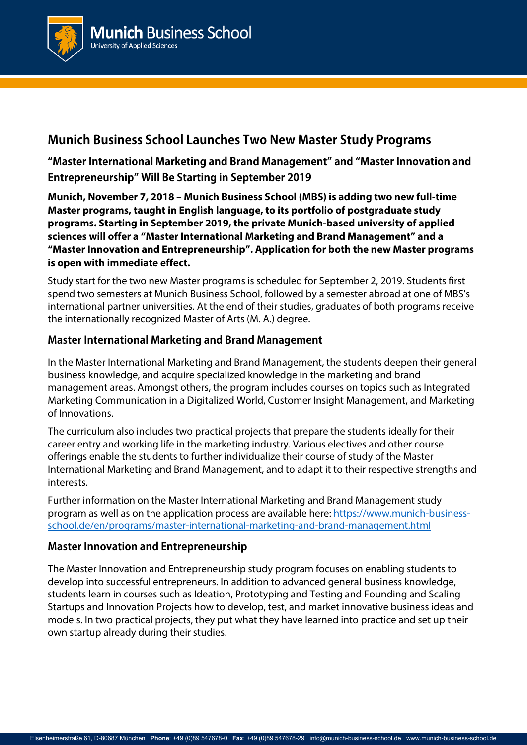

# **Munich Business School Launches Two New Master Study Programs**

**"Master International Marketing and Brand Management" and "Master Innovation and Entrepreneurship" Will Be Starting in September 2019** 

**Munich, November 7, 2018 – Munich Business School (MBS) is adding two new full-time Master programs, taught in English language, to its portfolio of postgraduate study programs. Starting in September 2019, the private Munich-based university of applied sciences will offer a "Master International Marketing and Brand Management" and a "Master Innovation and Entrepreneurship". Application for both the new Master programs is open with immediate effect.** 

Study start for the two new Master programs is scheduled for September 2, 2019. Students first spend two semesters at Munich Business School, followed by a semester abroad at one of MBS's international partner universities. At the end of their studies, graduates of both programs receive the internationally recognized Master of Arts (M. A.) degree.

### **Master International Marketing and Brand Management**

In the Master International Marketing and Brand Management, the students deepen their general business knowledge, and acquire specialized knowledge in the marketing and brand management areas. Amongst others, the program includes courses on topics such as Integrated Marketing Communication in a Digitalized World, Customer Insight Management, and Marketing of Innovations.

The curriculum also includes two practical projects that prepare the students ideally for their career entry and working life in the marketing industry. Various electives and other course offerings enable the students to further individualize their course of study of the Master International Marketing and Brand Management, and to adapt it to their respective strengths and interests.

Further information on the Master International Marketing and Brand Management study program as well as on the application process are available here: https://www.munich-businessschool.de/en/programs/master-international-marketing-and-brand-management.html

## **Master Innovation and Entrepreneurship**

The Master Innovation and Entrepreneurship study program focuses on enabling students to develop into successful entrepreneurs. In addition to advanced general business knowledge, students learn in courses such as Ideation, Prototyping and Testing and Founding and Scaling Startups and Innovation Projects how to develop, test, and market innovative business ideas and models. In two practical projects, they put what they have learned into practice and set up their own startup already during their studies.